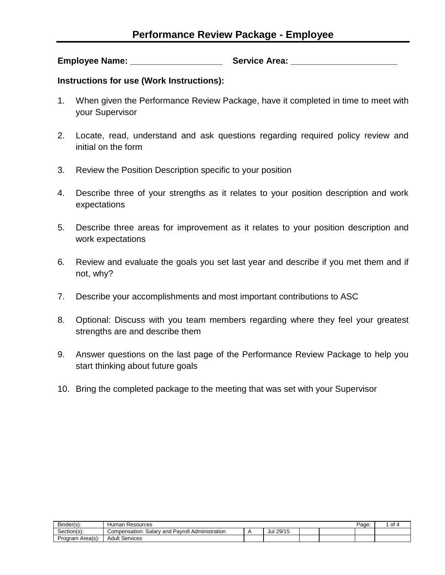**Employee Name: Constraining Service Area:**  $\blacksquare$ 

**Instructions for use (Work Instructions):**

- 1. When given the Performance Review Package, have it completed in time to meet with your Supervisor
- 2. Locate, read, understand and ask questions regarding required policy review and initial on the form
- 3. Review the Position Description specific to your position
- 4. Describe three of your strengths as it relates to your position description and work expectations
- 5. Describe three areas for improvement as it relates to your position description and work expectations
- 6. Review and evaluate the goals you set last year and describe if you met them and if not, why?
- 7. Describe your accomplishments and most important contributions to ASC
- 8. Optional: Discuss with you team members regarding where they feel your greatest strengths are and describe them
- 9. Answer questions on the last page of the Performance Review Package to help you start thinking about future goals
- 10. Bring the completed package to the meeting that was set with your Supervisor

| Binder(s):       | Resources<br>lumar                                            |              |  | Page: | οt |
|------------------|---------------------------------------------------------------|--------------|--|-------|----|
| Section(s):      | Pavroll<br>Administration<br>. Salarv<br>Compensation:<br>and | 29/15<br>Jul |  |       |    |
| Program Area(s): | Services<br>Adult                                             |              |  |       |    |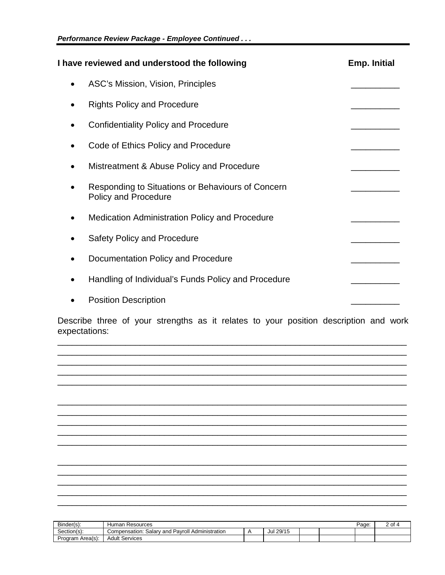| I have reviewed and understood the following                                     | <b>Emp. Initial</b> |
|----------------------------------------------------------------------------------|---------------------|
| ASC's Mission, Vision, Principles                                                |                     |
| <b>Rights Policy and Procedure</b>                                               |                     |
| <b>Confidentiality Policy and Procedure</b>                                      |                     |
| Code of Ethics Policy and Procedure                                              |                     |
| Mistreatment & Abuse Policy and Procedure                                        |                     |
| Responding to Situations or Behaviours of Concern<br><b>Policy and Procedure</b> |                     |
| <b>Medication Administration Policy and Procedure</b>                            |                     |
| <b>Safety Policy and Procedure</b>                                               |                     |
| Documentation Policy and Procedure                                               |                     |
| Handling of Individual's Funds Policy and Procedure                              |                     |
| <b>Position Description</b>                                                      |                     |

Describe three of your strengths as it relates to your position description and work expectations:



| Binder(s):       | Resources<br>Human                                                    |           |  | Page | $\sim$<br>- |
|------------------|-----------------------------------------------------------------------|-----------|--|------|-------------|
| Section(s)       | ' Pavroll<br>. Administration<br>Salary and <i>I</i><br>Compensation: | Jul 29/15 |  |      |             |
| Program Area(s): | Services<br>Adult                                                     |           |  |      |             |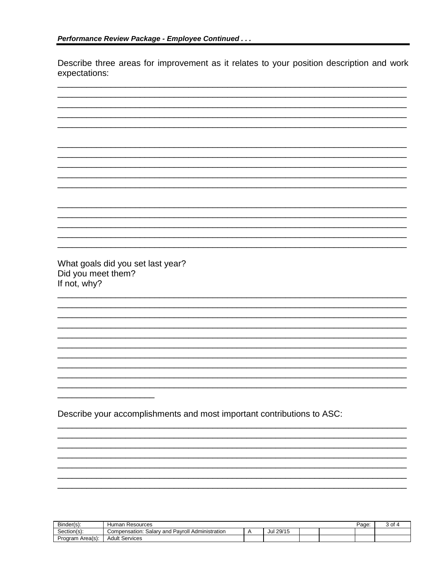Describe three areas for improvement as it relates to your position description and work expectations:

| What goals did you set last year?                                      |
|------------------------------------------------------------------------|
|                                                                        |
| Did you meet them?                                                     |
| If not, why?                                                           |
|                                                                        |
|                                                                        |
|                                                                        |
|                                                                        |
|                                                                        |
|                                                                        |
|                                                                        |
|                                                                        |
|                                                                        |
|                                                                        |
|                                                                        |
|                                                                        |
|                                                                        |
|                                                                        |
|                                                                        |
|                                                                        |
|                                                                        |
|                                                                        |
| Describe your accomplishments and most important contributions to ASC: |
|                                                                        |
|                                                                        |
|                                                                        |
|                                                                        |
|                                                                        |
|                                                                        |
|                                                                        |
|                                                                        |
|                                                                        |
|                                                                        |
|                                                                        |
|                                                                        |

| $\sim$<br>Binder(s): | Human<br>Resources                                           |           |  | Page. | . of |
|----------------------|--------------------------------------------------------------|-----------|--|-------|------|
| ~<br>Section(s):     | ' Pavroll<br>Administration<br>Compensation:<br>Salary and F | Jul 29/15 |  |       |      |
| Program Area(s):     | Services<br>Adult                                            |           |  |       |      |